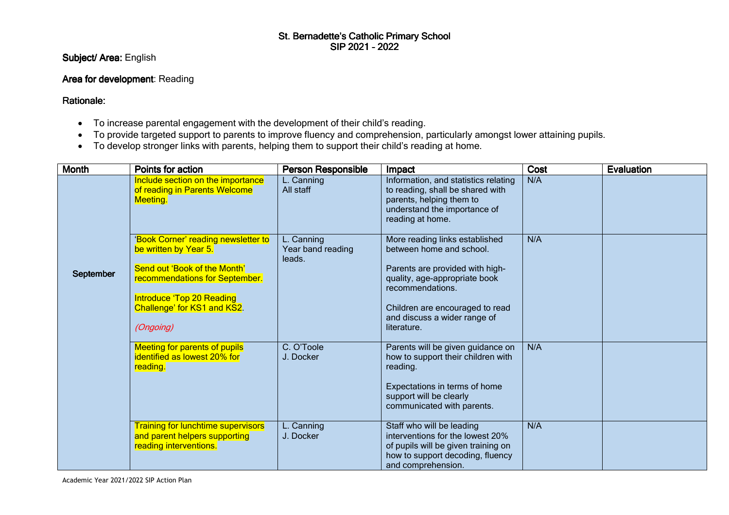#### St. Bernadette's Catholic Primary School SIP 2021 -2022

Subject/ Area: English

## Area for development: Reading

Rationale:

- To increase parental engagement with the development of their child's reading.
- To provide targeted support to parents to improve fluency and comprehension, particularly amongst lower attaining pupils.
- To develop stronger links with parents, helping them to support their child's reading at home.

| <b>Month</b> | Points for action                                                                                                                                                                                       | Person Responsible                        | Impact                                                                                                                                                                                                                               | Cost | <b>Evaluation</b> |
|--------------|---------------------------------------------------------------------------------------------------------------------------------------------------------------------------------------------------------|-------------------------------------------|--------------------------------------------------------------------------------------------------------------------------------------------------------------------------------------------------------------------------------------|------|-------------------|
|              | Include section on the importance<br>of reading in Parents Welcome<br><b>Meeting.</b>                                                                                                                   | L. Canning<br>All staff                   | Information, and statistics relating<br>to reading, shall be shared with<br>parents, helping them to<br>understand the importance of<br>reading at home.                                                                             | N/A  |                   |
| September    | 'Book Corner' reading newsletter to<br>be written by Year 5.<br>Send out 'Book of the Month'<br>recommendations for September.<br>Introduce 'Top 20 Reading<br>Challenge' for KS1 and KS2.<br>(Ongoing) | L. Canning<br>Year band reading<br>leads. | More reading links established<br>between home and school.<br>Parents are provided with high-<br>quality, age-appropriate book<br>recommendations.<br>Children are encouraged to read<br>and discuss a wider range of<br>literature. | N/A  |                   |
|              | <b>Meeting for parents of pupils</b><br>identified as lowest 20% for<br>reading.                                                                                                                        | C. O'Toole<br>J. Docker                   | Parents will be given guidance on<br>how to support their children with<br>reading.<br>Expectations in terms of home<br>support will be clearly<br>communicated with parents.                                                        | N/A  |                   |
|              | <b>Training for lunchtime supervisors</b><br>and parent helpers supporting<br>reading interventions.                                                                                                    | L. Canning<br>J. Docker                   | Staff who will be leading<br>interventions for the lowest 20%<br>of pupils will be given training on<br>how to support decoding, fluency<br>and comprehension.                                                                       | N/A  |                   |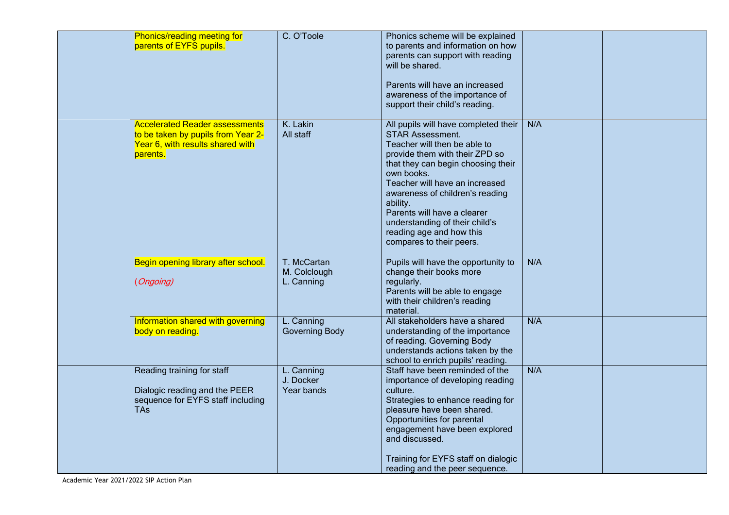|  | Phonics/reading meeting for<br>parents of EYFS pupils.                                                                      | C. O'Toole                                | Phonics scheme will be explained<br>to parents and information on how<br>parents can support with reading<br>will be shared.<br>Parents will have an increased<br>awareness of the importance of<br>support their child's reading.                                                                                                                                                              |     |  |
|--|-----------------------------------------------------------------------------------------------------------------------------|-------------------------------------------|-------------------------------------------------------------------------------------------------------------------------------------------------------------------------------------------------------------------------------------------------------------------------------------------------------------------------------------------------------------------------------------------------|-----|--|
|  | <b>Accelerated Reader assessments</b><br>to be taken by pupils from Year 2-<br>Year 6, with results shared with<br>parents. | K. Lakin<br>All staff                     | All pupils will have completed their<br><b>STAR Assessment.</b><br>Teacher will then be able to<br>provide them with their ZPD so<br>that they can begin choosing their<br>own books.<br>Teacher will have an increased<br>awareness of children's reading<br>ability.<br>Parents will have a clearer<br>understanding of their child's<br>reading age and how this<br>compares to their peers. | N/A |  |
|  | Begin opening library after school.<br>(Ongoing)                                                                            | T. McCartan<br>M. Colclough<br>L. Canning | Pupils will have the opportunity to<br>change their books more<br>regularly.<br>Parents will be able to engage<br>with their children's reading<br>material.                                                                                                                                                                                                                                    | N/A |  |
|  | Information shared with governing<br>body on reading.                                                                       | L. Canning<br><b>Governing Body</b>       | All stakeholders have a shared<br>understanding of the importance<br>of reading. Governing Body<br>understands actions taken by the<br>school to enrich pupils' reading.                                                                                                                                                                                                                        | N/A |  |
|  | Reading training for staff<br>Dialogic reading and the PEER<br>sequence for EYFS staff including<br><b>TAs</b>              | L. Canning<br>J. Docker<br>Year bands     | Staff have been reminded of the<br>importance of developing reading<br>culture.<br>Strategies to enhance reading for<br>pleasure have been shared.<br>Opportunities for parental<br>engagement have been explored<br>and discussed.<br>Training for EYFS staff on dialogic<br>reading and the peer sequence.                                                                                    | N/A |  |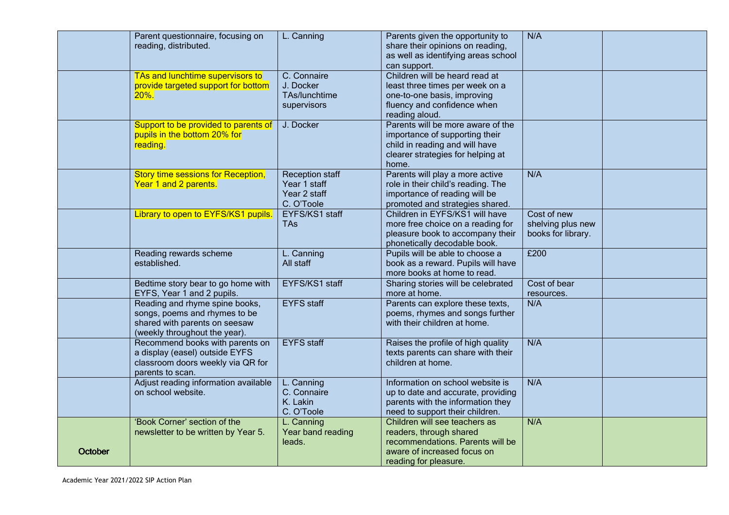|         | Parent questionnaire, focusing on<br>reading, distributed. | L. Canning                   | Parents given the opportunity to<br>share their opinions on reading,<br>as well as identifying areas school | N/A                |  |
|---------|------------------------------------------------------------|------------------------------|-------------------------------------------------------------------------------------------------------------|--------------------|--|
|         |                                                            |                              | can support.                                                                                                |                    |  |
|         | TAs and lunchtime supervisors to                           | C. Connaire                  | Children will be heard read at                                                                              |                    |  |
|         | provide targeted support for bottom                        | J. Docker                    | least three times per week on a                                                                             |                    |  |
|         | $20\%$ .                                                   | TAs/lunchtime                | one-to-one basis, improving                                                                                 |                    |  |
|         |                                                            | supervisors                  | fluency and confidence when                                                                                 |                    |  |
|         |                                                            |                              | reading aloud.                                                                                              |                    |  |
|         | Support to be provided to parents of                       | J. Docker                    | Parents will be more aware of the                                                                           |                    |  |
|         | pupils in the bottom 20% for                               |                              | importance of supporting their                                                                              |                    |  |
|         | reading.                                                   |                              | child in reading and will have                                                                              |                    |  |
|         |                                                            |                              | clearer strategies for helping at                                                                           |                    |  |
|         |                                                            |                              | home.                                                                                                       |                    |  |
|         | <b>Story time sessions for Reception,</b>                  | <b>Reception staff</b>       | Parents will play a more active                                                                             | N/A                |  |
|         | Year 1 and 2 parents.                                      | Year 1 staff                 | role in their child's reading. The                                                                          |                    |  |
|         |                                                            | Year 2 staff                 | importance of reading will be                                                                               |                    |  |
|         | Library to open to EYFS/KS1 pupils.                        | C. O'Toole<br>EYFS/KS1 staff | promoted and strategies shared.<br>Children in EYFS/KS1 will have                                           | Cost of new        |  |
|         |                                                            | <b>TAs</b>                   | more free choice on a reading for                                                                           | shelving plus new  |  |
|         |                                                            |                              | pleasure book to accompany their                                                                            | books for library. |  |
|         |                                                            |                              | phonetically decodable book.                                                                                |                    |  |
|         | Reading rewards scheme                                     | L. Canning                   | Pupils will be able to choose a                                                                             | £200               |  |
|         | established.                                               | All staff                    | book as a reward. Pupils will have                                                                          |                    |  |
|         |                                                            |                              | more books at home to read.                                                                                 |                    |  |
|         | Bedtime story bear to go home with                         | EYFS/KS1 staff               | Sharing stories will be celebrated                                                                          | Cost of bear       |  |
|         | EYFS, Year 1 and 2 pupils.                                 |                              | more at home.                                                                                               | resources.         |  |
|         | Reading and rhyme spine books,                             | <b>EYFS</b> staff            | Parents can explore these texts,                                                                            | N/A                |  |
|         | songs, poems and rhymes to be                              |                              | poems, rhymes and songs further                                                                             |                    |  |
|         | shared with parents on seesaw                              |                              | with their children at home.                                                                                |                    |  |
|         | (weekly throughout the year).                              |                              |                                                                                                             |                    |  |
|         | Recommend books with parents on                            | <b>EYFS</b> staff            | Raises the profile of high quality                                                                          | N/A                |  |
|         | a display (easel) outside EYFS                             |                              | texts parents can share with their                                                                          |                    |  |
|         | classroom doors weekly via QR for                          |                              | children at home.                                                                                           |                    |  |
|         | parents to scan.                                           |                              |                                                                                                             |                    |  |
|         | Adjust reading information available                       | L. Canning                   | Information on school website is                                                                            | N/A                |  |
|         | on school website.                                         | C. Connaire                  | up to date and accurate, providing                                                                          |                    |  |
|         |                                                            | K. Lakin                     | parents with the information they                                                                           |                    |  |
|         |                                                            | C. O'Toole                   | need to support their children.                                                                             |                    |  |
|         | 'Book Corner' section of the                               | L. Canning                   | Children will see teachers as                                                                               | N/A                |  |
|         | newsletter to be written by Year 5.                        | Year band reading            | readers, through shared                                                                                     |                    |  |
|         |                                                            | leads.                       | recommendations. Parents will be<br>aware of increased focus on                                             |                    |  |
| October |                                                            |                              | reading for pleasure.                                                                                       |                    |  |
|         |                                                            |                              |                                                                                                             |                    |  |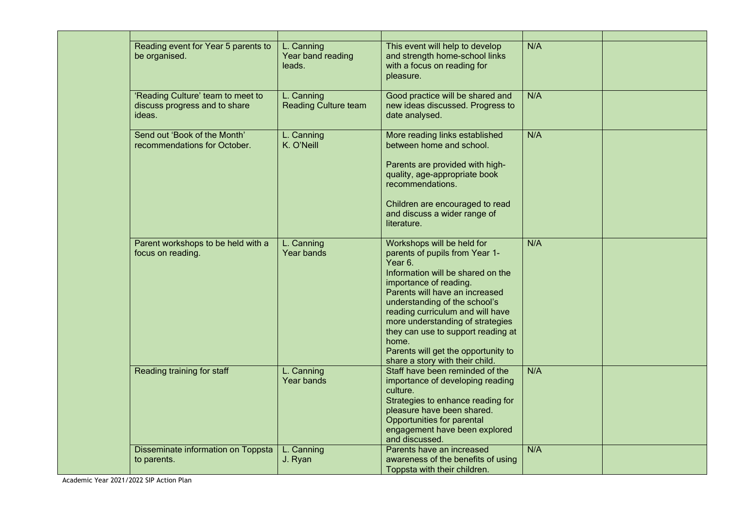| Reading event for Year 5 parents to<br>be organised.                         | L. Canning<br>Year band reading<br>leads. | This event will help to develop<br>and strength home-school links<br>with a focus on reading for<br>pleasure.                                                                                                                                                                                                                                                                                              | N/A |  |
|------------------------------------------------------------------------------|-------------------------------------------|------------------------------------------------------------------------------------------------------------------------------------------------------------------------------------------------------------------------------------------------------------------------------------------------------------------------------------------------------------------------------------------------------------|-----|--|
| 'Reading Culture' team to meet to<br>discuss progress and to share<br>ideas. | L. Canning<br><b>Reading Culture team</b> | Good practice will be shared and<br>new ideas discussed. Progress to<br>date analysed.                                                                                                                                                                                                                                                                                                                     | N/A |  |
| Send out 'Book of the Month'<br>recommendations for October.                 | L. Canning<br>K. O'Neill                  | More reading links established<br>between home and school.<br>Parents are provided with high-<br>quality, age-appropriate book<br>recommendations.<br>Children are encouraged to read<br>and discuss a wider range of<br>literature.                                                                                                                                                                       | N/A |  |
| Parent workshops to be held with a<br>focus on reading.                      | L. Canning<br>Year bands                  | Workshops will be held for<br>parents of pupils from Year 1-<br>Year 6.<br>Information will be shared on the<br>importance of reading.<br>Parents will have an increased<br>understanding of the school's<br>reading curriculum and will have<br>more understanding of strategies<br>they can use to support reading at<br>home.<br>Parents will get the opportunity to<br>share a story with their child. | N/A |  |
| Reading training for staff                                                   | L. Canning<br>Year bands                  | Staff have been reminded of the<br>importance of developing reading<br>culture.<br>Strategies to enhance reading for<br>pleasure have been shared.<br>Opportunities for parental<br>engagement have been explored<br>and discussed.                                                                                                                                                                        | N/A |  |
| Disseminate information on Toppsta<br>to parents.                            | L. Canning<br>J. Ryan                     | Parents have an increased<br>awareness of the benefits of using<br>Toppsta with their children.                                                                                                                                                                                                                                                                                                            | N/A |  |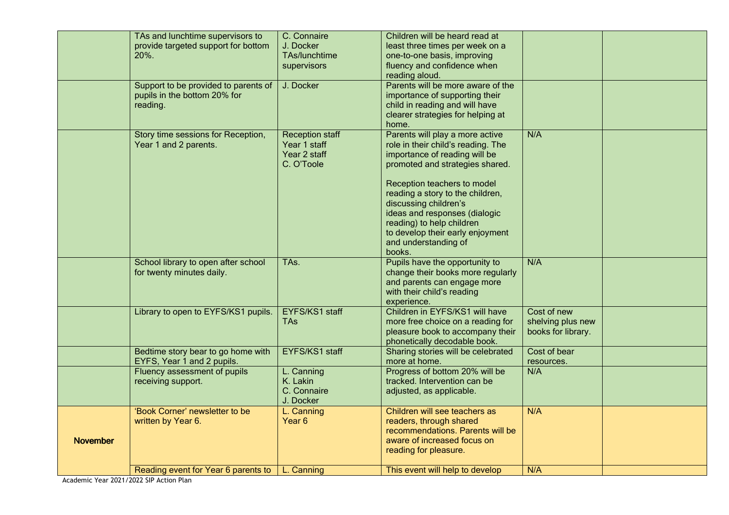|                 | TAs and lunchtime supervisors to     | C. Connaire            | Children will be heard read at     |                    |  |
|-----------------|--------------------------------------|------------------------|------------------------------------|--------------------|--|
|                 | provide targeted support for bottom  | J. Docker              | least three times per week on a    |                    |  |
|                 | 20%.                                 | TAs/lunchtime          | one-to-one basis, improving        |                    |  |
|                 |                                      | supervisors            | fluency and confidence when        |                    |  |
|                 |                                      |                        | reading aloud.                     |                    |  |
|                 | Support to be provided to parents of | J. Docker              | Parents will be more aware of the  |                    |  |
|                 | pupils in the bottom 20% for         |                        | importance of supporting their     |                    |  |
|                 | reading.                             |                        | child in reading and will have     |                    |  |
|                 |                                      |                        | clearer strategies for helping at  |                    |  |
|                 |                                      |                        | home.                              |                    |  |
|                 | Story time sessions for Reception,   | <b>Reception staff</b> | Parents will play a more active    | N/A                |  |
|                 | Year 1 and 2 parents.                | Year 1 staff           | role in their child's reading. The |                    |  |
|                 |                                      | Year 2 staff           | importance of reading will be      |                    |  |
|                 |                                      | C. O'Toole             | promoted and strategies shared.    |                    |  |
|                 |                                      |                        |                                    |                    |  |
|                 |                                      |                        | Reception teachers to model        |                    |  |
|                 |                                      |                        | reading a story to the children,   |                    |  |
|                 |                                      |                        | discussing children's              |                    |  |
|                 |                                      |                        | ideas and responses (dialogic      |                    |  |
|                 |                                      |                        | reading) to help children          |                    |  |
|                 |                                      |                        | to develop their early enjoyment   |                    |  |
|                 |                                      |                        | and understanding of               |                    |  |
|                 |                                      |                        | books.                             |                    |  |
|                 | School library to open after school  | TAs.                   | Pupils have the opportunity to     | N/A                |  |
|                 | for twenty minutes daily.            |                        | change their books more regularly  |                    |  |
|                 |                                      |                        | and parents can engage more        |                    |  |
|                 |                                      |                        | with their child's reading         |                    |  |
|                 |                                      |                        | experience.                        |                    |  |
|                 | Library to open to EYFS/KS1 pupils.  | EYFS/KS1 staff         | Children in EYFS/KS1 will have     | Cost of new        |  |
|                 |                                      | <b>TAs</b>             | more free choice on a reading for  | shelving plus new  |  |
|                 |                                      |                        | pleasure book to accompany their   | books for library. |  |
|                 |                                      |                        | phonetically decodable book.       |                    |  |
|                 | Bedtime story bear to go home with   | EYFS/KS1 staff         | Sharing stories will be celebrated | Cost of bear       |  |
|                 | EYFS, Year 1 and 2 pupils.           |                        | more at home.                      | resources.         |  |
|                 | Fluency assessment of pupils         | L. Canning             | Progress of bottom 20% will be     | N/A                |  |
|                 | receiving support.                   | K. Lakin               | tracked. Intervention can be       |                    |  |
|                 |                                      | C. Connaire            | adjusted, as applicable.           |                    |  |
|                 |                                      | J. Docker              |                                    |                    |  |
|                 | 'Book Corner' newsletter to be       | L. Canning             | Children will see teachers as      | N/A                |  |
|                 | written by Year 6.                   | Year <sub>6</sub>      | readers, through shared            |                    |  |
|                 |                                      |                        | recommendations. Parents will be   |                    |  |
| <b>November</b> |                                      |                        | aware of increased focus on        |                    |  |
|                 |                                      |                        | reading for pleasure.              |                    |  |
|                 |                                      |                        |                                    |                    |  |
|                 | Reading event for Year 6 parents to  | L. Canning             | This event will help to develop    | N/A                |  |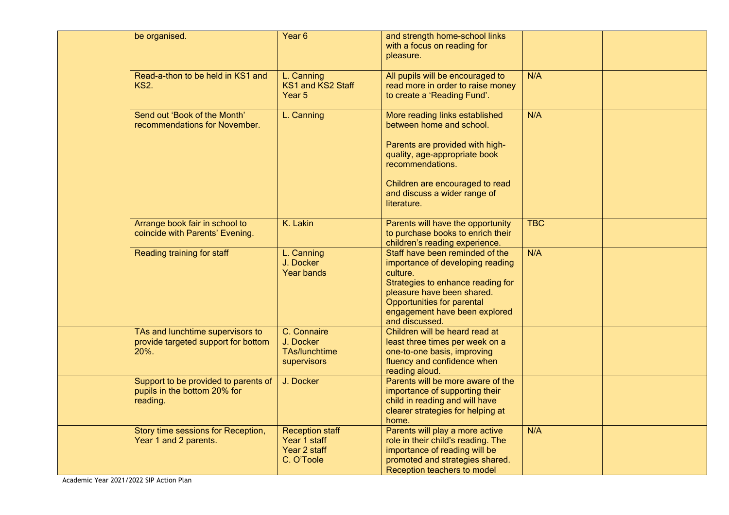| be organised.                                                                    | Year <sub>6</sub>                                                    | and strength home-school links<br>with a focus on reading for<br>pleasure.                                                                                                                                                          |            |  |
|----------------------------------------------------------------------------------|----------------------------------------------------------------------|-------------------------------------------------------------------------------------------------------------------------------------------------------------------------------------------------------------------------------------|------------|--|
| Read-a-thon to be held in KS1 and<br><b>KS2.</b>                                 | L. Canning<br>KS1 and KS2 Staff<br>Year 5                            | All pupils will be encouraged to<br>read more in order to raise money<br>to create a 'Reading Fund'.                                                                                                                                | N/A        |  |
| Send out 'Book of the Month'<br>recommendations for November.                    | L. Canning                                                           | More reading links established<br>between home and school.<br>Parents are provided with high-<br>quality, age-appropriate book<br>recommendations.<br>Children are encouraged to read                                               | N/A        |  |
|                                                                                  |                                                                      | and discuss a wider range of<br>literature.                                                                                                                                                                                         |            |  |
| Arrange book fair in school to<br>coincide with Parents' Evening.                | K. Lakin                                                             | Parents will have the opportunity<br>to purchase books to enrich their<br>children's reading experience.                                                                                                                            | <b>TBC</b> |  |
| Reading training for staff                                                       | L. Canning<br>J. Docker<br><b>Year bands</b>                         | Staff have been reminded of the<br>importance of developing reading<br>culture.<br>Strategies to enhance reading for<br>pleasure have been shared.<br>Opportunities for parental<br>engagement have been explored<br>and discussed. | N/A        |  |
| TAs and lunchtime supervisors to<br>provide targeted support for bottom<br>20%.  | C. Connaire<br>J. Docker<br><b>TAs/lunchtime</b><br>supervisors      | Children will be heard read at<br>least three times per week on a<br>one-to-one basis, improving<br>fluency and confidence when<br>reading aloud.                                                                                   |            |  |
| Support to be provided to parents of<br>pupils in the bottom 20% for<br>reading. | J. Docker                                                            | Parents will be more aware of the<br>importance of supporting their<br>child in reading and will have<br>clearer strategies for helping at<br>home.                                                                                 |            |  |
| Story time sessions for Reception,<br>Year 1 and 2 parents.                      | <b>Reception staff</b><br>Year 1 staff<br>Year 2 staff<br>C. O'Toole | Parents will play a more active<br>role in their child's reading. The<br>importance of reading will be<br>promoted and strategies shared.<br>Reception teachers to model                                                            | N/A        |  |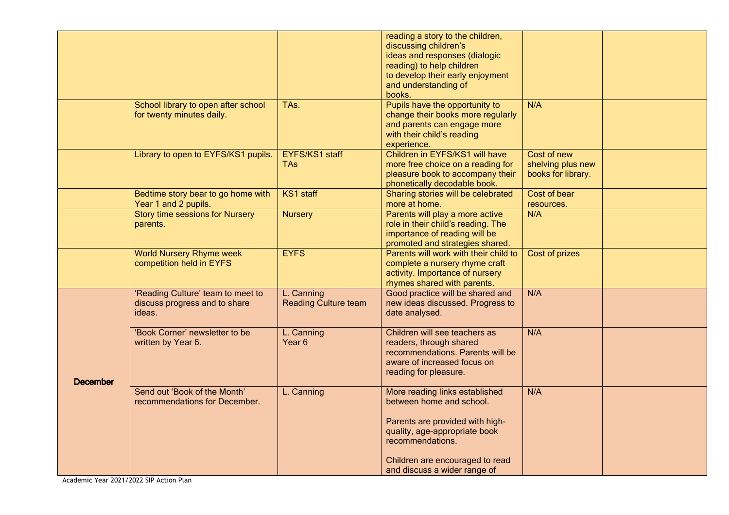|                 |                                        |                             | reading a story to the children,      |                    |  |
|-----------------|----------------------------------------|-----------------------------|---------------------------------------|--------------------|--|
|                 |                                        |                             | discussing children's                 |                    |  |
|                 |                                        |                             | ideas and responses (dialogic         |                    |  |
|                 |                                        |                             | reading) to help children             |                    |  |
|                 |                                        |                             | to develop their early enjoyment      |                    |  |
|                 |                                        |                             | and understanding of                  |                    |  |
|                 |                                        |                             | books.                                |                    |  |
|                 |                                        |                             |                                       | N/A                |  |
|                 | School library to open after school    | TAs.                        | Pupils have the opportunity to        |                    |  |
|                 | for twenty minutes daily.              |                             | change their books more regularly     |                    |  |
|                 |                                        |                             | and parents can engage more           |                    |  |
|                 |                                        |                             | with their child's reading            |                    |  |
|                 |                                        |                             | experience.                           |                    |  |
|                 | Library to open to EYFS/KS1 pupils.    | EYFS/KS1 staff              | Children in EYFS/KS1 will have        | Cost of new        |  |
|                 |                                        | TAs:                        | more free choice on a reading for     | shelving plus new  |  |
|                 |                                        |                             | pleasure book to accompany their      | books for library. |  |
|                 |                                        |                             | phonetically decodable book.          |                    |  |
|                 | Bedtime story bear to go home with     | KS1 staff                   | Sharing stories will be celebrated    | Cost of bear       |  |
|                 | Year 1 and 2 pupils.                   |                             | more at home.                         | resources.         |  |
|                 | <b>Story time sessions for Nursery</b> | <b>Nursery</b>              | Parents will play a more active       | N/A                |  |
|                 | parents.                               |                             | role in their child's reading. The    |                    |  |
|                 |                                        |                             | importance of reading will be         |                    |  |
|                 |                                        |                             | promoted and strategies shared.       |                    |  |
|                 | <b>World Nursery Rhyme week</b>        | <b>EYFS</b>                 | Parents will work with their child to | Cost of prizes     |  |
|                 | competition held in EYFS               |                             | complete a nursery rhyme craft        |                    |  |
|                 |                                        |                             |                                       |                    |  |
|                 |                                        |                             | activity. Importance of nursery       |                    |  |
|                 |                                        |                             | rhymes shared with parents.           |                    |  |
|                 | 'Reading Culture' team to meet to      | L. Canning                  | Good practice will be shared and      | N/A                |  |
|                 | discuss progress and to share          | <b>Reading Culture team</b> | new ideas discussed. Progress to      |                    |  |
|                 | ideas.                                 |                             | date analysed.                        |                    |  |
|                 |                                        |                             |                                       |                    |  |
|                 | 'Book Corner' newsletter to be         | L. Canning                  | Children will see teachers as         | N/A                |  |
|                 | written by Year 6.                     | Year <sub>6</sub>           | readers, through shared               |                    |  |
|                 |                                        |                             | recommendations. Parents will be      |                    |  |
|                 |                                        |                             | aware of increased focus on           |                    |  |
|                 |                                        |                             | reading for pleasure.                 |                    |  |
| <b>December</b> |                                        |                             |                                       |                    |  |
|                 | Send out 'Book of the Month'           | L. Canning                  | More reading links established        | N/A                |  |
|                 | recommendations for December.          |                             | between home and school.              |                    |  |
|                 |                                        |                             |                                       |                    |  |
|                 |                                        |                             | Parents are provided with high-       |                    |  |
|                 |                                        |                             | quality, age-appropriate book         |                    |  |
|                 |                                        |                             | recommendations.                      |                    |  |
|                 |                                        |                             |                                       |                    |  |
|                 |                                        |                             |                                       |                    |  |
|                 |                                        |                             | Children are encouraged to read       |                    |  |
|                 |                                        |                             | and discuss a wider range of          |                    |  |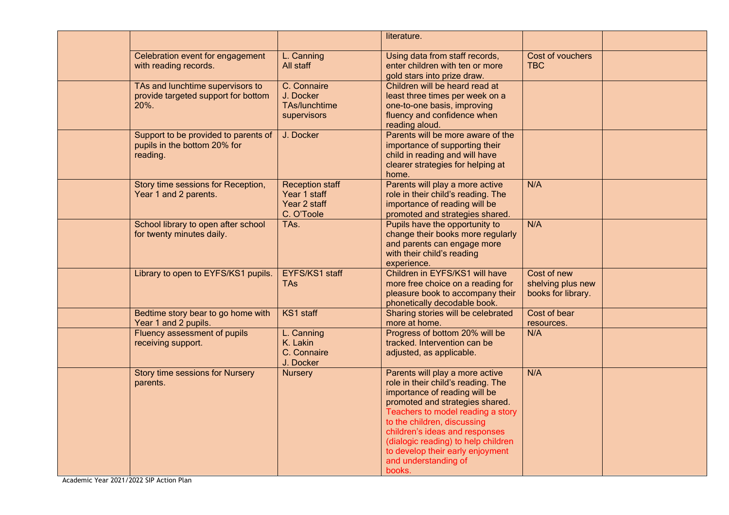|                                                                                  |                                                                      | literature.                                                                                                                                                                                                                                                                                                                                                  |                                                        |  |
|----------------------------------------------------------------------------------|----------------------------------------------------------------------|--------------------------------------------------------------------------------------------------------------------------------------------------------------------------------------------------------------------------------------------------------------------------------------------------------------------------------------------------------------|--------------------------------------------------------|--|
| Celebration event for engagement<br>with reading records.                        | L. Canning<br>All staff                                              | Using data from staff records,<br>enter children with ten or more<br>gold stars into prize draw.                                                                                                                                                                                                                                                             | Cost of vouchers<br><b>TBC</b>                         |  |
| TAs and lunchtime supervisors to<br>provide targeted support for bottom<br>20%.  | C. Connaire<br>J. Docker<br>TAs/lunchtime<br>supervisors             | Children will be heard read at<br>least three times per week on a<br>one-to-one basis, improving<br>fluency and confidence when<br>reading aloud.                                                                                                                                                                                                            |                                                        |  |
| Support to be provided to parents of<br>pupils in the bottom 20% for<br>reading. | J. Docker                                                            | Parents will be more aware of the<br>importance of supporting their<br>child in reading and will have<br>clearer strategies for helping at<br>home.                                                                                                                                                                                                          |                                                        |  |
| Story time sessions for Reception,<br>Year 1 and 2 parents.                      | <b>Reception staff</b><br>Year 1 staff<br>Year 2 staff<br>C. O'Toole | Parents will play a more active<br>role in their child's reading. The<br>importance of reading will be<br>promoted and strategies shared.                                                                                                                                                                                                                    | N/A                                                    |  |
| School library to open after school<br>for twenty minutes daily.                 | TAs.                                                                 | Pupils have the opportunity to<br>change their books more regularly<br>and parents can engage more<br>with their child's reading<br>experience.                                                                                                                                                                                                              | N/A                                                    |  |
| Library to open to EYFS/KS1 pupils.                                              | EYFS/KS1 staff<br><b>TAs</b>                                         | Children in EYFS/KS1 will have<br>more free choice on a reading for<br>pleasure book to accompany their<br>phonetically decodable book.                                                                                                                                                                                                                      | Cost of new<br>shelving plus new<br>books for library. |  |
| Bedtime story bear to go home with<br>Year 1 and 2 pupils.                       | KS1 staff                                                            | Sharing stories will be celebrated<br>more at home.                                                                                                                                                                                                                                                                                                          | Cost of bear<br>resources.                             |  |
| Fluency assessment of pupils<br>receiving support.                               | L. Canning<br>K. Lakin<br>C. Connaire<br>J. Docker                   | Progress of bottom 20% will be<br>tracked. Intervention can be<br>adjusted, as applicable.                                                                                                                                                                                                                                                                   | N/A                                                    |  |
| <b>Story time sessions for Nursery</b><br>parents.                               | <b>Nursery</b>                                                       | Parents will play a more active<br>role in their child's reading. The<br>importance of reading will be<br>promoted and strategies shared.<br>Teachers to model reading a story<br>to the children, discussing<br>children's ideas and responses<br>(dialogic reading) to help children<br>to develop their early enjoyment<br>and understanding of<br>books. | N/A                                                    |  |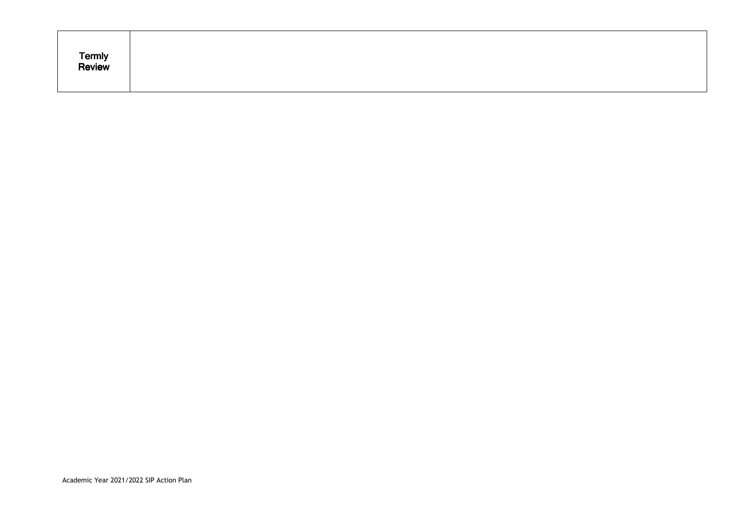| Termly<br>Review |
|------------------|
|------------------|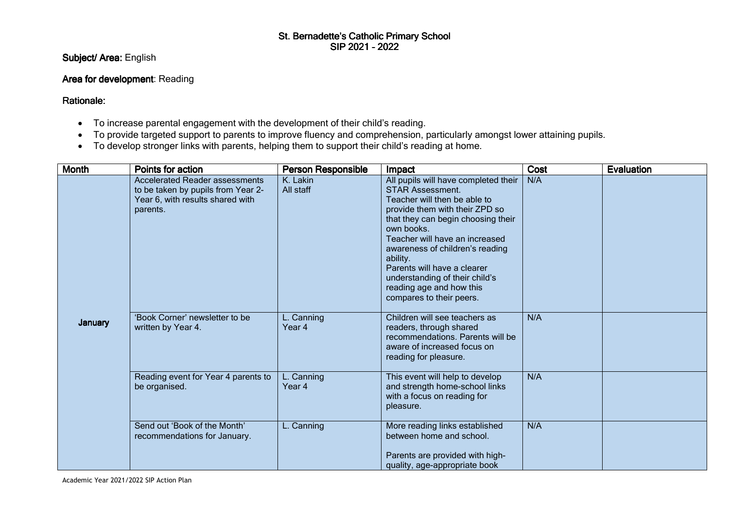# St. Bernadette's Catholic Primary School<br>SIP 2021 - 2022

Subject/ Area: English

### Area for development: Reading

Rationale:

- To increase parental engagement with the development of their child's reading.
- To provide targeted support to parents to improve fluency and comprehension, particularly amongst lower attaining pupils.
- To develop stronger links with parents, helping them to support their child's reading at home.

| <b>Month</b> | Points for action                                                                                                           | <b>Person Responsible</b> | Impact                                                                                                                                                                                                                                                                                                                                                                                          | Cost | Evaluation |
|--------------|-----------------------------------------------------------------------------------------------------------------------------|---------------------------|-------------------------------------------------------------------------------------------------------------------------------------------------------------------------------------------------------------------------------------------------------------------------------------------------------------------------------------------------------------------------------------------------|------|------------|
|              | <b>Accelerated Reader assessments</b><br>to be taken by pupils from Year 2-<br>Year 6, with results shared with<br>parents. | K. Lakin<br>All staff     | All pupils will have completed their<br><b>STAR Assessment.</b><br>Teacher will then be able to<br>provide them with their ZPD so<br>that they can begin choosing their<br>own books.<br>Teacher will have an increased<br>awareness of children's reading<br>ability.<br>Parents will have a clearer<br>understanding of their child's<br>reading age and how this<br>compares to their peers. | N/A  |            |
| January      | 'Book Corner' newsletter to be<br>written by Year 4.                                                                        | L. Canning<br>Year 4      | Children will see teachers as<br>readers, through shared<br>recommendations. Parents will be<br>aware of increased focus on<br>reading for pleasure.                                                                                                                                                                                                                                            | N/A  |            |
|              | Reading event for Year 4 parents to<br>be organised.                                                                        | L. Canning<br>Year 4      | This event will help to develop<br>and strength home-school links<br>with a focus on reading for<br>pleasure.                                                                                                                                                                                                                                                                                   | N/A  |            |
|              | Send out 'Book of the Month'<br>recommendations for January.                                                                | L. Canning                | More reading links established<br>between home and school.<br>Parents are provided with high-<br>quality, age-appropriate book                                                                                                                                                                                                                                                                  | N/A  |            |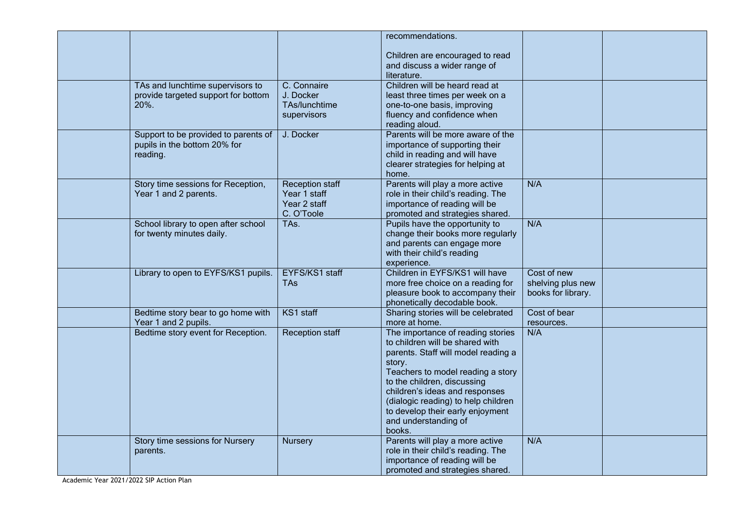|                                      |                        | recommendations.                                                        |                    |  |
|--------------------------------------|------------------------|-------------------------------------------------------------------------|--------------------|--|
|                                      |                        | Children are encouraged to read                                         |                    |  |
|                                      |                        | and discuss a wider range of                                            |                    |  |
|                                      |                        | literature.                                                             |                    |  |
| TAs and lunchtime supervisors to     | C. Connaire            | Children will be heard read at                                          |                    |  |
| provide targeted support for bottom  | J. Docker              | least three times per week on a                                         |                    |  |
| 20%.                                 | TAs/lunchtime          | one-to-one basis, improving                                             |                    |  |
|                                      | supervisors            | fluency and confidence when                                             |                    |  |
|                                      |                        | reading aloud.                                                          |                    |  |
| Support to be provided to parents of | J. Docker              | Parents will be more aware of the                                       |                    |  |
| pupils in the bottom 20% for         |                        | importance of supporting their                                          |                    |  |
| reading.                             |                        | child in reading and will have                                          |                    |  |
|                                      |                        | clearer strategies for helping at                                       |                    |  |
|                                      |                        | home.                                                                   |                    |  |
| Story time sessions for Reception,   | <b>Reception staff</b> | Parents will play a more active                                         | N/A                |  |
| Year 1 and 2 parents.                | Year 1 staff           | role in their child's reading. The                                      |                    |  |
|                                      | Year 2 staff           | importance of reading will be                                           |                    |  |
|                                      | C. O'Toole             | promoted and strategies shared.                                         |                    |  |
| School library to open after school  | TAs.                   | Pupils have the opportunity to                                          | N/A                |  |
| for twenty minutes daily.            |                        | change their books more regularly                                       |                    |  |
|                                      |                        | and parents can engage more                                             |                    |  |
|                                      |                        | with their child's reading                                              |                    |  |
|                                      |                        | experience.                                                             |                    |  |
| Library to open to EYFS/KS1 pupils.  | EYFS/KS1 staff         | Children in EYFS/KS1 will have                                          | Cost of new        |  |
|                                      | <b>TAs</b>             | more free choice on a reading for                                       | shelving plus new  |  |
|                                      |                        | pleasure book to accompany their                                        | books for library. |  |
|                                      |                        | phonetically decodable book.                                            |                    |  |
| Bedtime story bear to go home with   | KS1 staff              | Sharing stories will be celebrated                                      | Cost of bear       |  |
| Year 1 and 2 pupils.                 |                        | more at home.                                                           | resources.         |  |
| Bedtime story event for Reception.   | Reception staff        | The importance of reading stories                                       | N/A                |  |
|                                      |                        | to children will be shared with                                         |                    |  |
|                                      |                        | parents. Staff will model reading a                                     |                    |  |
|                                      |                        | story.                                                                  |                    |  |
|                                      |                        | Teachers to model reading a story                                       |                    |  |
|                                      |                        | to the children, discussing                                             |                    |  |
|                                      |                        | children's ideas and responses                                          |                    |  |
|                                      |                        | (dialogic reading) to help children<br>to develop their early enjoyment |                    |  |
|                                      |                        | and understanding of                                                    |                    |  |
|                                      |                        | books.                                                                  |                    |  |
| Story time sessions for Nursery      | <b>Nursery</b>         | Parents will play a more active                                         | N/A                |  |
| parents.                             |                        | role in their child's reading. The                                      |                    |  |
|                                      |                        | importance of reading will be                                           |                    |  |
|                                      |                        | promoted and strategies shared.                                         |                    |  |
|                                      |                        |                                                                         |                    |  |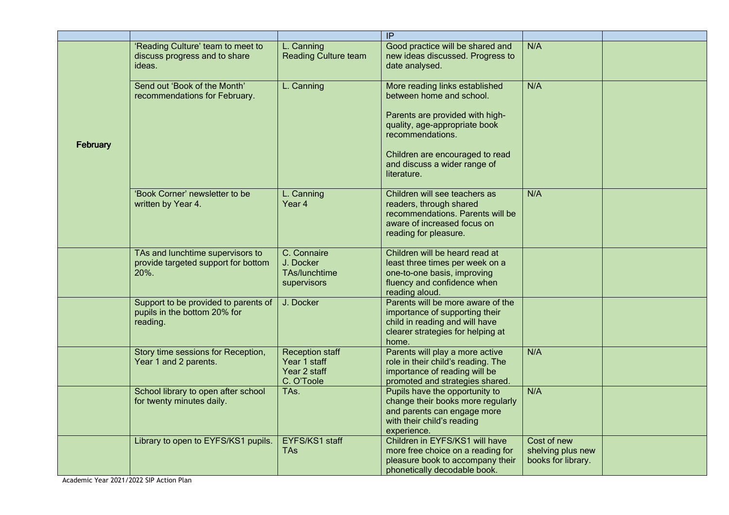|          |                                                                                  |                                                                      | IP                                                                                                                                                                                                                                   |                                                        |  |
|----------|----------------------------------------------------------------------------------|----------------------------------------------------------------------|--------------------------------------------------------------------------------------------------------------------------------------------------------------------------------------------------------------------------------------|--------------------------------------------------------|--|
|          | 'Reading Culture' team to meet to<br>discuss progress and to share<br>ideas.     | L. Canning<br><b>Reading Culture team</b>                            | Good practice will be shared and<br>new ideas discussed. Progress to<br>date analysed.                                                                                                                                               | N/A                                                    |  |
| February | Send out 'Book of the Month'<br>recommendations for February.                    | L. Canning                                                           | More reading links established<br>between home and school.<br>Parents are provided with high-<br>quality, age-appropriate book<br>recommendations.<br>Children are encouraged to read<br>and discuss a wider range of<br>literature. | N/A                                                    |  |
|          | 'Book Corner' newsletter to be<br>written by Year 4.                             | L. Canning<br>Year 4                                                 | Children will see teachers as<br>readers, through shared<br>recommendations. Parents will be<br>aware of increased focus on<br>reading for pleasure.                                                                                 | N/A                                                    |  |
|          | TAs and lunchtime supervisors to<br>provide targeted support for bottom<br>20%.  | C. Connaire<br>J. Docker<br>TAs/lunchtime<br>supervisors             | Children will be heard read at<br>least three times per week on a<br>one-to-one basis, improving<br>fluency and confidence when<br>reading aloud.                                                                                    |                                                        |  |
|          | Support to be provided to parents of<br>pupils in the bottom 20% for<br>reading. | J. Docker                                                            | Parents will be more aware of the<br>importance of supporting their<br>child in reading and will have<br>clearer strategies for helping at<br>home.                                                                                  |                                                        |  |
|          | Story time sessions for Reception,<br>Year 1 and 2 parents.                      | <b>Reception staff</b><br>Year 1 staff<br>Year 2 staff<br>C. O'Toole | Parents will play a more active<br>role in their child's reading. The<br>importance of reading will be<br>promoted and strategies shared.                                                                                            | N/A                                                    |  |
|          | School library to open after school<br>for twenty minutes daily.                 | TAs.                                                                 | Pupils have the opportunity to<br>change their books more regularly<br>and parents can engage more<br>with their child's reading<br>experience.                                                                                      | N/A                                                    |  |
|          | Library to open to EYFS/KS1 pupils.                                              | EYFS/KS1 staff<br>TAs                                                | Children in EYFS/KS1 will have<br>more free choice on a reading for<br>pleasure book to accompany their<br>phonetically decodable book.                                                                                              | Cost of new<br>shelving plus new<br>books for library. |  |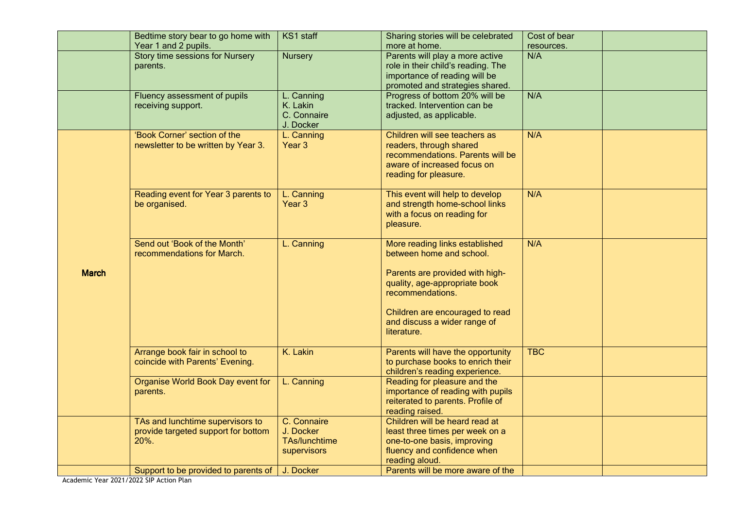|              | Bedtime story bear to go home with<br>Year 1 and 2 pupils.                      | KS1 staff                                                       | Sharing stories will be celebrated<br>more at home.                                                                                                                                                                                  | Cost of bear<br>resources. |  |
|--------------|---------------------------------------------------------------------------------|-----------------------------------------------------------------|--------------------------------------------------------------------------------------------------------------------------------------------------------------------------------------------------------------------------------------|----------------------------|--|
|              | <b>Story time sessions for Nursery</b><br>parents.                              | <b>Nursery</b>                                                  | Parents will play a more active<br>role in their child's reading. The<br>importance of reading will be<br>promoted and strategies shared.                                                                                            | N/A                        |  |
|              | Fluency assessment of pupils<br>receiving support.                              | L. Canning<br>K. Lakin<br>C. Connaire<br>J. Docker              | Progress of bottom 20% will be<br>tracked. Intervention can be<br>adjusted, as applicable.                                                                                                                                           | N/A                        |  |
|              | 'Book Corner' section of the<br>newsletter to be written by Year 3.             | L. Canning<br>Year 3                                            | Children will see teachers as<br>readers, through shared<br>recommendations. Parents will be<br>aware of increased focus on<br>reading for pleasure.                                                                                 | N/A                        |  |
|              | Reading event for Year 3 parents to<br>be organised.                            | L. Canning<br>Year 3                                            | This event will help to develop<br>and strength home-school links<br>with a focus on reading for<br>pleasure.                                                                                                                        | N/A                        |  |
| <b>March</b> | Send out 'Book of the Month'<br>recommendations for March.                      | L. Canning                                                      | More reading links established<br>between home and school.<br>Parents are provided with high-<br>quality, age-appropriate book<br>recommendations.<br>Children are encouraged to read<br>and discuss a wider range of<br>literature. | N/A                        |  |
|              | Arrange book fair in school to<br>coincide with Parents' Evening.               | K. Lakin                                                        | Parents will have the opportunity<br>to purchase books to enrich their<br>children's reading experience.                                                                                                                             | <b>TBC</b>                 |  |
|              | Organise World Book Day event for<br>parents.                                   | L. Canning                                                      | Reading for pleasure and the<br>importance of reading with pupils<br>reiterated to parents. Profile of<br>reading raised.                                                                                                            |                            |  |
|              | TAs and lunchtime supervisors to<br>provide targeted support for bottom<br>20%. | C. Connaire<br>J. Docker<br><b>TAs/lunchtime</b><br>supervisors | Children will be heard read at<br>least three times per week on a<br>one-to-one basis, improving<br>fluency and confidence when<br>reading aloud.                                                                                    |                            |  |
|              | Support to be provided to parents of                                            | J. Docker                                                       | Parents will be more aware of the                                                                                                                                                                                                    |                            |  |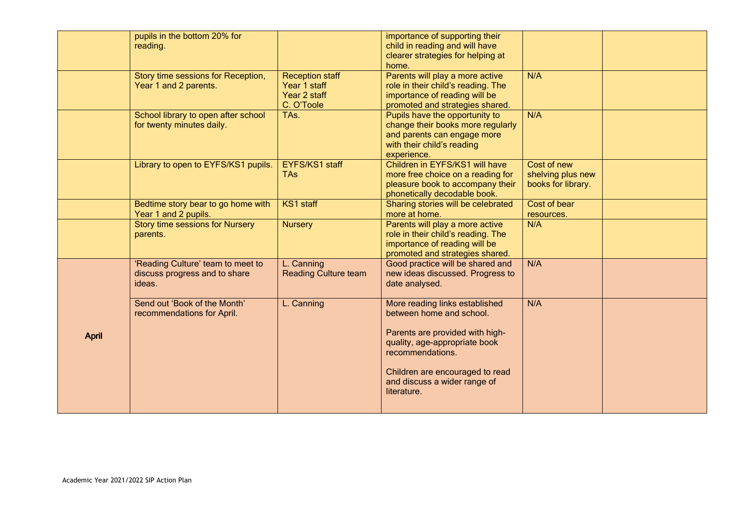|              | pupils in the bottom 20% for<br>reading.                                     |                                                                      | importance of supporting their<br>child in reading and will have<br>clearer strategies for helping at<br>home.                                  |                                                        |  |
|--------------|------------------------------------------------------------------------------|----------------------------------------------------------------------|-------------------------------------------------------------------------------------------------------------------------------------------------|--------------------------------------------------------|--|
|              | Story time sessions for Reception,<br>Year 1 and 2 parents.                  | <b>Reception staff</b><br>Year 1 staff<br>Year 2 staff<br>C. O'Toole | Parents will play a more active<br>role in their child's reading. The<br>importance of reading will be<br>promoted and strategies shared.       | N/A                                                    |  |
|              | School library to open after school<br>for twenty minutes daily.             | TAs.                                                                 | Pupils have the opportunity to<br>change their books more regularly<br>and parents can engage more<br>with their child's reading<br>experience. | N/A                                                    |  |
|              | Library to open to EYFS/KS1 pupils.                                          | <b>EYFS/KS1 staff</b><br><b>TAs</b>                                  | Children in EYFS/KS1 will have<br>more free choice on a reading for<br>pleasure book to accompany their<br>phonetically decodable book.         | Cost of new<br>shelving plus new<br>books for library. |  |
|              | Bedtime story bear to go home with<br>Year 1 and 2 pupils.                   | KS1 staff                                                            | Sharing stories will be celebrated<br>more at home.                                                                                             | Cost of bear<br>resources.                             |  |
|              | <b>Story time sessions for Nursery</b><br>parents.                           | <b>Nursery</b>                                                       | Parents will play a more active<br>role in their child's reading. The<br>importance of reading will be<br>promoted and strategies shared.       | N/A                                                    |  |
|              | 'Reading Culture' team to meet to<br>discuss progress and to share<br>ideas. | L. Canning<br><b>Reading Culture team</b>                            | Good practice will be shared and<br>new ideas discussed. Progress to<br>date analysed.                                                          | N/A                                                    |  |
|              | Send out 'Book of the Month'<br>recommendations for April.                   | L. Canning                                                           | More reading links established<br>between home and school.                                                                                      | N/A                                                    |  |
| <b>April</b> |                                                                              |                                                                      | Parents are provided with high-<br>quality, age-appropriate book<br>recommendations.                                                            |                                                        |  |
|              |                                                                              |                                                                      | Children are encouraged to read<br>and discuss a wider range of<br>literature.                                                                  |                                                        |  |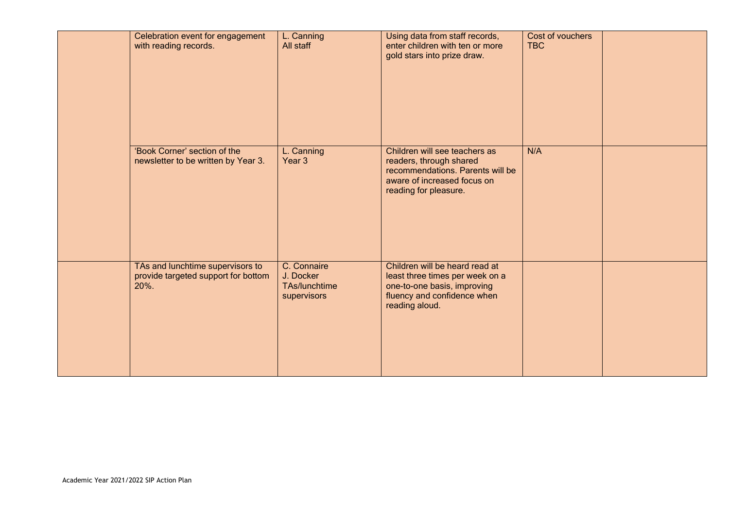| Celebration event for engagement<br>with reading records.                       | L. Canning<br>All staff                                  | Using data from staff records,<br>enter children with ten or more<br>gold stars into prize draw.                                                     | Cost of vouchers<br><b>TBC</b> |  |
|---------------------------------------------------------------------------------|----------------------------------------------------------|------------------------------------------------------------------------------------------------------------------------------------------------------|--------------------------------|--|
| 'Book Corner' section of the<br>newsletter to be written by Year 3.             | L. Canning<br>Year 3                                     | Children will see teachers as<br>readers, through shared<br>recommendations. Parents will be<br>aware of increased focus on<br>reading for pleasure. | N/A                            |  |
| TAs and lunchtime supervisors to<br>provide targeted support for bottom<br>20%. | C. Connaire<br>J. Docker<br>TAs/lunchtime<br>supervisors | Children will be heard read at<br>least three times per week on a<br>one-to-one basis, improving<br>fluency and confidence when<br>reading aloud.    |                                |  |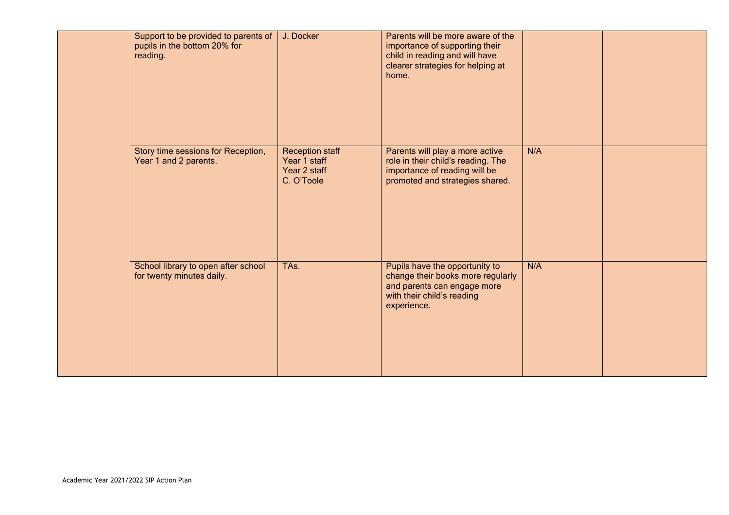|  | Support to be provided to parents of<br>pupils in the bottom 20% for<br>reading. | J. Docker                                                            | Parents will be more aware of the<br>importance of supporting their<br>child in reading and will have<br>clearer strategies for helping at<br>home. |     |  |
|--|----------------------------------------------------------------------------------|----------------------------------------------------------------------|-----------------------------------------------------------------------------------------------------------------------------------------------------|-----|--|
|  | Story time sessions for Reception,<br>Year 1 and 2 parents.                      | <b>Reception staff</b><br>Year 1 staff<br>Year 2 staff<br>C. O'Toole | Parents will play a more active<br>role in their child's reading. The<br>importance of reading will be<br>promoted and strategies shared.           | N/A |  |
|  | School library to open after school<br>for twenty minutes daily.                 | TAs.                                                                 | Pupils have the opportunity to<br>change their books more regularly<br>and parents can engage more<br>with their child's reading<br>experience.     | N/A |  |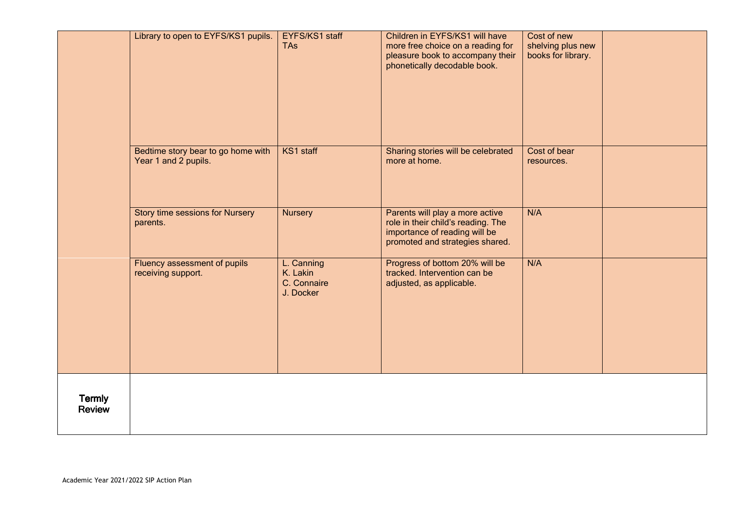|                                | Library to open to EYFS/KS1 pupils.                        | EYFS/KS1 staff<br><b>TAs</b>                       | Children in EYFS/KS1 will have<br>more free choice on a reading for<br>pleasure book to accompany their<br>phonetically decodable book.   | Cost of new<br>shelving plus new<br>books for library. |  |
|--------------------------------|------------------------------------------------------------|----------------------------------------------------|-------------------------------------------------------------------------------------------------------------------------------------------|--------------------------------------------------------|--|
|                                | Bedtime story bear to go home with<br>Year 1 and 2 pupils. | KS1 staff                                          | Sharing stories will be celebrated<br>more at home.                                                                                       | Cost of bear<br>resources.                             |  |
|                                | Story time sessions for Nursery<br>parents.                | <b>Nursery</b>                                     | Parents will play a more active<br>role in their child's reading. The<br>importance of reading will be<br>promoted and strategies shared. | N/A                                                    |  |
|                                | Fluency assessment of pupils<br>receiving support.         | L. Canning<br>K. Lakin<br>C. Connaire<br>J. Docker | Progress of bottom 20% will be<br>tracked. Intervention can be<br>adjusted, as applicable.                                                | N/A                                                    |  |
| <b>Termly</b><br><b>Review</b> |                                                            |                                                    |                                                                                                                                           |                                                        |  |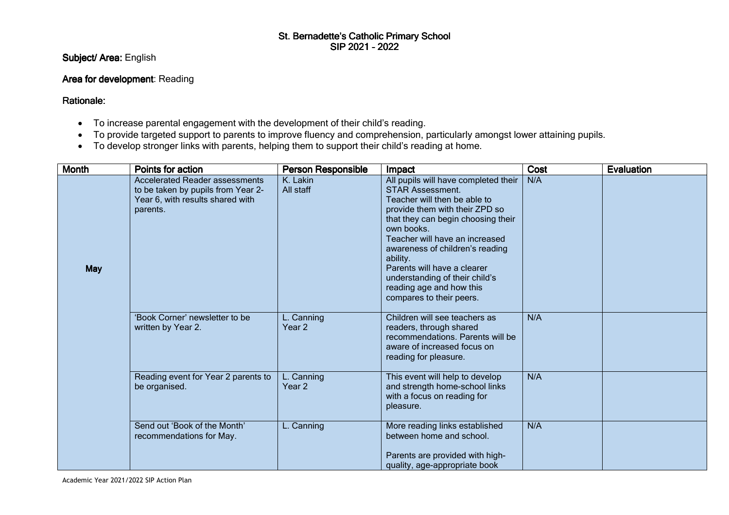# St. Bernadette's Catholic Primary School<br>SIP 2021 - 2022

Subject/ Area: English

## Area for development: Reading

Rationale:

- To increase parental engagement with the development of their child's reading.
- To provide targeted support to parents to improve fluency and comprehension, particularly amongst lower attaining pupils.
- To develop stronger links with parents, helping them to support their child's reading at home.

| <b>Month</b> | Points for action                                                                                                           | <b>Person Responsible</b>       | Impact                                                                                                                                                                                                                                                                                                                                                                                          | Cost | <b>Evaluation</b> |
|--------------|-----------------------------------------------------------------------------------------------------------------------------|---------------------------------|-------------------------------------------------------------------------------------------------------------------------------------------------------------------------------------------------------------------------------------------------------------------------------------------------------------------------------------------------------------------------------------------------|------|-------------------|
| <b>May</b>   | <b>Accelerated Reader assessments</b><br>to be taken by pupils from Year 2-<br>Year 6, with results shared with<br>parents. | K. Lakin<br>All staff           | All pupils will have completed their<br><b>STAR Assessment.</b><br>Teacher will then be able to<br>provide them with their ZPD so<br>that they can begin choosing their<br>own books.<br>Teacher will have an increased<br>awareness of children's reading<br>ability.<br>Parents will have a clearer<br>understanding of their child's<br>reading age and how this<br>compares to their peers. | N/A  |                   |
|              | 'Book Corner' newsletter to be<br>written by Year 2.                                                                        | L. Canning<br>Year <sub>2</sub> | Children will see teachers as<br>readers, through shared<br>recommendations. Parents will be<br>aware of increased focus on<br>reading for pleasure.                                                                                                                                                                                                                                            | N/A  |                   |
|              | Reading event for Year 2 parents to<br>be organised.                                                                        | L. Canning<br>Year 2            | This event will help to develop<br>and strength home-school links<br>with a focus on reading for<br>pleasure.                                                                                                                                                                                                                                                                                   | N/A  |                   |
|              | Send out 'Book of the Month'<br>recommendations for May.                                                                    | L. Canning                      | More reading links established<br>between home and school.<br>Parents are provided with high-<br>quality, age-appropriate book                                                                                                                                                                                                                                                                  | N/A  |                   |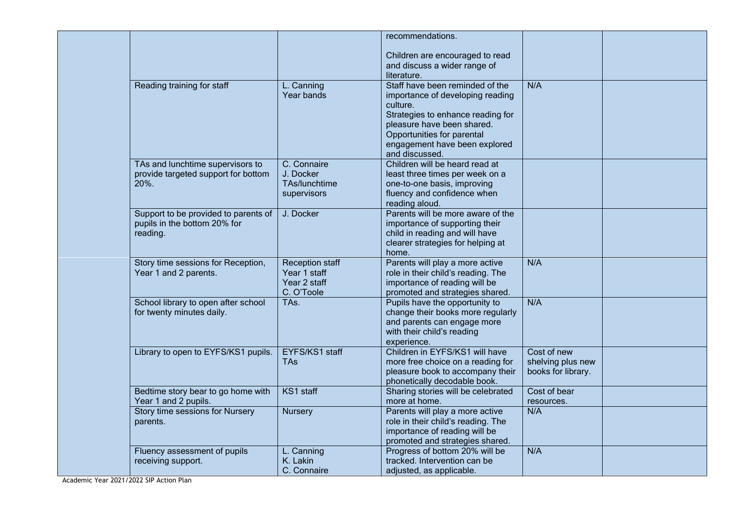|                                      |                              | recommendations.                                                    |                                  |  |
|--------------------------------------|------------------------------|---------------------------------------------------------------------|----------------------------------|--|
|                                      |                              | Children are encouraged to read                                     |                                  |  |
|                                      |                              | and discuss a wider range of                                        |                                  |  |
|                                      |                              | literature.                                                         |                                  |  |
| Reading training for staff           | L. Canning                   | Staff have been reminded of the                                     | N/A                              |  |
|                                      | Year bands                   | importance of developing reading                                    |                                  |  |
|                                      |                              | culture.                                                            |                                  |  |
|                                      |                              | Strategies to enhance reading for                                   |                                  |  |
|                                      |                              | pleasure have been shared.                                          |                                  |  |
|                                      |                              | Opportunities for parental                                          |                                  |  |
|                                      |                              | engagement have been explored<br>and discussed.                     |                                  |  |
| TAs and lunchtime supervisors to     | C. Connaire                  | Children will be heard read at                                      |                                  |  |
| provide targeted support for bottom  | J. Docker                    | least three times per week on a                                     |                                  |  |
| 20%.                                 | TAs/lunchtime                | one-to-one basis, improving                                         |                                  |  |
|                                      | supervisors                  | fluency and confidence when                                         |                                  |  |
|                                      |                              | reading aloud.                                                      |                                  |  |
| Support to be provided to parents of | J. Docker                    | Parents will be more aware of the                                   |                                  |  |
| pupils in the bottom 20% for         |                              | importance of supporting their                                      |                                  |  |
| reading.                             |                              | child in reading and will have                                      |                                  |  |
|                                      |                              | clearer strategies for helping at                                   |                                  |  |
| Story time sessions for Reception,   | <b>Reception staff</b>       | home.<br>Parents will play a more active                            | N/A                              |  |
| Year 1 and 2 parents.                | Year 1 staff                 | role in their child's reading. The                                  |                                  |  |
|                                      | Year 2 staff                 | importance of reading will be                                       |                                  |  |
|                                      | C. O'Toole                   | promoted and strategies shared.                                     |                                  |  |
| School library to open after school  | TAs.                         | Pupils have the opportunity to                                      | N/A                              |  |
| for twenty minutes daily.            |                              | change their books more regularly                                   |                                  |  |
|                                      |                              | and parents can engage more                                         |                                  |  |
|                                      |                              | with their child's reading                                          |                                  |  |
|                                      |                              | experience.                                                         |                                  |  |
| Library to open to EYFS/KS1 pupils.  | EYFS/KS1 staff<br><b>TAs</b> | Children in EYFS/KS1 will have<br>more free choice on a reading for | Cost of new<br>shelving plus new |  |
|                                      |                              | pleasure book to accompany their                                    | books for library.               |  |
|                                      |                              | phonetically decodable book.                                        |                                  |  |
| Bedtime story bear to go home with   | KS1 staff                    | Sharing stories will be celebrated                                  | Cost of bear                     |  |
| Year 1 and 2 pupils.                 |                              | more at home.                                                       | resources.                       |  |
| Story time sessions for Nursery      | <b>Nursery</b>               | Parents will play a more active                                     | N/A                              |  |
| parents.                             |                              | role in their child's reading. The                                  |                                  |  |
|                                      |                              | importance of reading will be                                       |                                  |  |
|                                      |                              | promoted and strategies shared.                                     |                                  |  |
| Fluency assessment of pupils         | L. Canning<br>K. Lakin       | Progress of bottom 20% will be<br>tracked. Intervention can be      | N/A                              |  |
| receiving support.                   | C. Connaire                  | adjusted, as applicable.                                            |                                  |  |
|                                      |                              |                                                                     |                                  |  |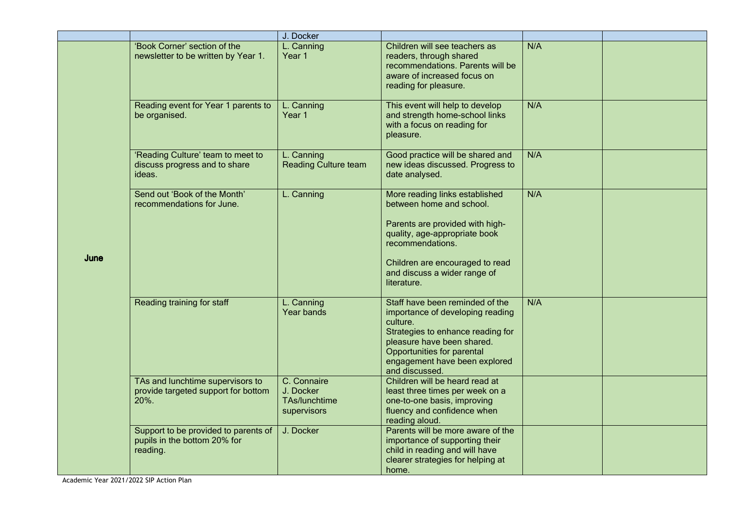|      |                                                                                  | J. Docker                                                |                                                                                                                                                                                                                                      |     |  |
|------|----------------------------------------------------------------------------------|----------------------------------------------------------|--------------------------------------------------------------------------------------------------------------------------------------------------------------------------------------------------------------------------------------|-----|--|
|      | 'Book Corner' section of the<br>newsletter to be written by Year 1.              | L. Canning<br>Year 1                                     | Children will see teachers as<br>readers, through shared<br>recommendations. Parents will be<br>aware of increased focus on<br>reading for pleasure.                                                                                 | N/A |  |
|      | Reading event for Year 1 parents to<br>be organised.                             | L. Canning<br>Year 1                                     | This event will help to develop<br>and strength home-school links<br>with a focus on reading for<br>pleasure.                                                                                                                        | N/A |  |
|      | 'Reading Culture' team to meet to<br>discuss progress and to share<br>ideas.     | L. Canning<br><b>Reading Culture team</b>                | Good practice will be shared and<br>new ideas discussed. Progress to<br>date analysed.                                                                                                                                               | N/A |  |
| June | Send out 'Book of the Month'<br>recommendations for June.                        | L. Canning                                               | More reading links established<br>between home and school.<br>Parents are provided with high-<br>quality, age-appropriate book<br>recommendations.<br>Children are encouraged to read<br>and discuss a wider range of<br>literature. | N/A |  |
|      | Reading training for staff                                                       | L. Canning<br>Year bands                                 | Staff have been reminded of the<br>importance of developing reading<br>culture.<br>Strategies to enhance reading for<br>pleasure have been shared.<br>Opportunities for parental<br>engagement have been explored<br>and discussed.  | N/A |  |
|      | TAs and lunchtime supervisors to<br>provide targeted support for bottom<br>20%.  | C. Connaire<br>J. Docker<br>TAs/lunchtime<br>supervisors | Children will be heard read at<br>least three times per week on a<br>one-to-one basis, improving<br>fluency and confidence when<br>reading aloud.                                                                                    |     |  |
|      | Support to be provided to parents of<br>pupils in the bottom 20% for<br>reading. | J. Docker                                                | Parents will be more aware of the<br>importance of supporting their<br>child in reading and will have<br>clearer strategies for helping at<br>home.                                                                                  |     |  |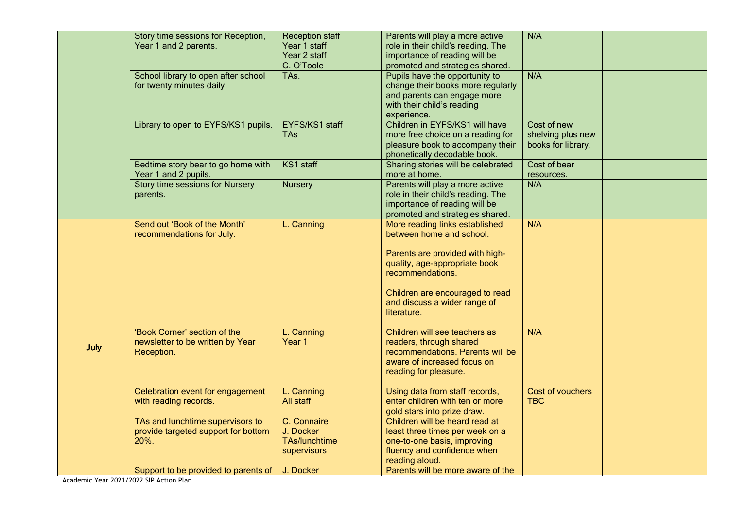|      | Story time sessions for Reception,<br>Year 1 and 2 parents.                     | <b>Reception staff</b><br>Year 1 staff<br>Year 2 staff<br>C. O'Toole | Parents will play a more active<br>role in their child's reading. The<br>importance of reading will be<br>promoted and strategies shared.                                                                                            | N/A                                                    |  |
|------|---------------------------------------------------------------------------------|----------------------------------------------------------------------|--------------------------------------------------------------------------------------------------------------------------------------------------------------------------------------------------------------------------------------|--------------------------------------------------------|--|
|      | School library to open after school<br>for twenty minutes daily.                | TAs.                                                                 | Pupils have the opportunity to<br>change their books more regularly<br>and parents can engage more<br>with their child's reading<br>experience.                                                                                      | N/A                                                    |  |
|      | Library to open to EYFS/KS1 pupils.                                             | EYFS/KS1 staff<br><b>TAs</b>                                         | Children in EYFS/KS1 will have<br>more free choice on a reading for<br>pleasure book to accompany their<br>phonetically decodable book.                                                                                              | Cost of new<br>shelving plus new<br>books for library. |  |
|      | Bedtime story bear to go home with<br>Year 1 and 2 pupils.                      | KS1 staff                                                            | Sharing stories will be celebrated<br>more at home.                                                                                                                                                                                  | Cost of bear<br>resources.                             |  |
|      | <b>Story time sessions for Nursery</b><br>parents.                              | <b>Nursery</b>                                                       | Parents will play a more active<br>role in their child's reading. The<br>importance of reading will be<br>promoted and strategies shared.                                                                                            | N/A                                                    |  |
|      | Send out 'Book of the Month'<br>recommendations for July.                       | L. Canning                                                           | More reading links established<br>between home and school.<br>Parents are provided with high-<br>quality, age-appropriate book<br>recommendations.<br>Children are encouraged to read<br>and discuss a wider range of<br>literature. | N/A                                                    |  |
| July | 'Book Corner' section of the<br>newsletter to be written by Year<br>Reception.  | L. Canning<br>Year 1                                                 | Children will see teachers as<br>readers, through shared<br>recommendations. Parents will be<br>aware of increased focus on<br>reading for pleasure.                                                                                 | N/A                                                    |  |
|      | Celebration event for engagement<br>with reading records.                       | L. Canning<br>All staff                                              | Using data from staff records,<br>enter children with ten or more<br>gold stars into prize draw.                                                                                                                                     | Cost of vouchers<br><b>TBC</b>                         |  |
|      | TAs and lunchtime supervisors to<br>provide targeted support for bottom<br>20%. | C. Connaire<br>J. Docker<br><b>TAs/lunchtime</b><br>supervisors      | Children will be heard read at<br>least three times per week on a<br>one-to-one basis, improving<br>fluency and confidence when<br>reading aloud.                                                                                    |                                                        |  |
|      | Support to be provided to parents of                                            | J. Docker                                                            | Parents will be more aware of the                                                                                                                                                                                                    |                                                        |  |